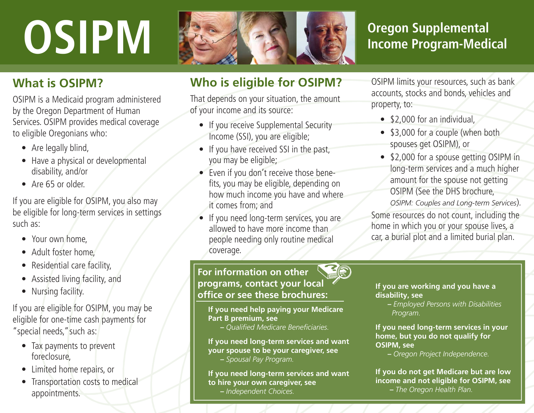# **OSIPM**



## **Oregon Supplemental Income Program-Medical**

#### **What is OSIPM?**

OSIPM is a Medicaid program administered by the Oregon Department of Human Services. OSIPM provides medical coverage to eligible Oregonians who:

- Are legally blind,
- Have a physical or developmental disability, and/or
- Are 65 or older.

If you are eligible for OSIPM, you also may be eligible for long-term services in settings such as:

- Your own home,
- Adult foster home,
- Residential care facility,
- Assisted living facility, and
- Nursing facility.

If you are eligible for OSIPM, you may be eligible for one-time cash payments for "special needs," such as:

- Tax payments to prevent foreclosure,
- Limited home repairs, or
- Transportation costs to medical appointments.

### **Who is eligible for OSIPM?**

That depends on your situation, the amount of your income and its source:

- If you receive Supplemental Security Income (SSI), you are eligible;
- If you have received SSI in the past, you may be eligible;
- Even if you don't receive those benefits, you may be eligible, depending on how much income you have and where it comes from; and
- If you need long-term services, you are allowed to have more income than people needing only routine medical coverage.

**For information on other programs, contact your local offi ce or see these brochures:**

**If you need help paying your Medicare Part B premium, see** 

 **–** *Quali fi ed Medicare Bene fi ciaries.*

**If you need long-term services and want your spouse to be your caregiver, see –** *Spousal Pay Program.*

**If you need long-term services and want to hire your own caregiver, see –** *Independent Choices.*

OSIPM limits your resources, such as bank accounts, stocks and bonds, vehicles and property, to:

- \$2,000 for an individual.
- \$3,000 for a couple (when both spouses get OSIPM), or
- \$2,000 for a spouse getting OSIPM in long-term services and a much higher amount for the spouse not getting OSIPM (See the DHS brochure,

*OSIPM: Couples and Long-term Services*)*.*

Some resources do not count, including the home in which you or your spouse lives, a car, a burial plot and a limited burial plan.

**If you are working and you have a disability, see** 

 **–** *Employed Persons with Disabilities Program.*

**If you need long-term services in your home, but you do not qualify for OSIPM, see** 

 **–** *Oregon Project Independence.*

**If you do not get Medicare but are low income and not eligible for OSIPM, see –** *The Oregon Health Plan.*